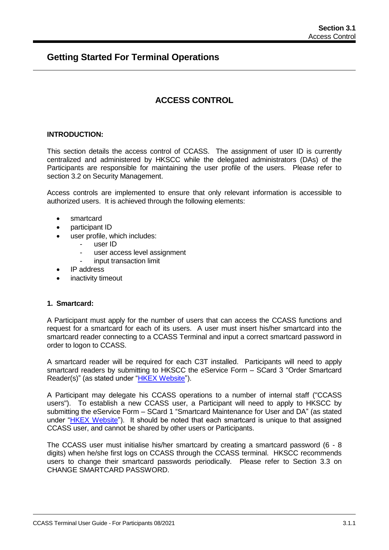# **Getting Started For Terminal Operations**

# **ACCESS CONTROL**

## **INTRODUCTION:**

This section details the access control of CCASS. The assignment of user ID is currently centralized and administered by HKSCC while the delegated administrators (DAs) of the Participants are responsible for maintaining the user profile of the users. Please refer to section 3.2 on Security Management.

Access controls are implemented to ensure that only relevant information is accessible to authorized users. It is achieved through the following elements:

- smartcard
- participant ID
- user profile, which includes:
	- user ID
	- user access level assignment
	- input transaction limit
- IP address
- inactivity timeout

## **1. Smartcard:**

A Participant must apply for the number of users that can access the CCASS functions and request for a smartcard for each of its users. A user must insert his/her smartcard into the smartcard reader connecting to a CCASS Terminal and input a correct smartcard password in order to logon to CCASS.

A smartcard reader will be required for each C3T installed. Participants will need to apply smartcard readers by submitting to HKSCC the eService Form – SCard 3 "Order Smartcard Reader(s)" (as stated under "HKEX [Website"](http://www.hkex.com.hk/Services/Rules-and-Forms-and-Fees/Forms/Securities-(Hong-Kong)/Clearing/Participantship-Membership?sc_lang=en)).

A Participant may delegate his CCASS operations to a number of internal staff ("CCASS users"). To establish a new CCASS user, a Participant will need to apply to HKSCC by submitting the eService Form – SCard 1 "Smartcard Maintenance for User and DA" (as stated under "HKEX [Website"](http://www.hkex.com.hk/Services/Rules-and-Forms-and-Fees/Forms/Securities-(Hong-Kong)/Clearing/Participantship-Membership?sc_lang=en)). It should be noted that each smartcard is unique to that assigned CCASS user, and cannot be shared by other users or Participants.

The CCASS user must initialise his/her smartcard by creating a smartcard password (6 - 8 digits) when he/she first logs on CCASS through the CCASS terminal. HKSCC recommends users to change their smartcard passwords periodically. Please refer to Section 3.3 on CHANGE SMARTCARD PASSWORD.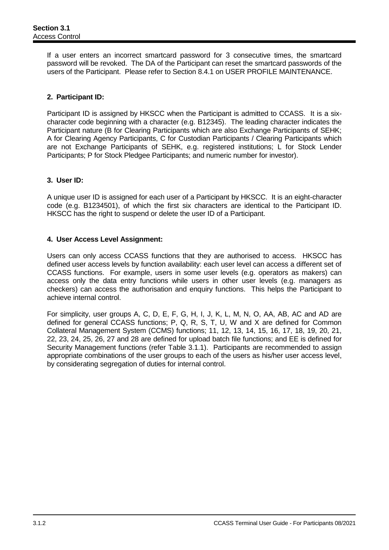If a user enters an incorrect smartcard password for 3 consecutive times, the smartcard password will be revoked. The DA of the Participant can reset the smartcard passwords of the users of the Participant. Please refer to Section 8.4.1 on USER PROFILE MAINTENANCE.

# **2. Participant ID:**

Participant ID is assigned by HKSCC when the Participant is admitted to CCASS. It is a sixcharacter code beginning with a character (e.g. B12345). The leading character indicates the Participant nature (B for Clearing Participants which are also Exchange Participants of SEHK; A for Clearing Agency Participants, C for Custodian Participants / Clearing Participants which are not Exchange Participants of SEHK, e.g. registered institutions; L for Stock Lender Participants; P for Stock Pledgee Participants; and numeric number for investor).

# **3. User ID:**

A unique user ID is assigned for each user of a Participant by HKSCC. It is an eight-character code (e.g. B1234501), of which the first six characters are identical to the Participant ID. HKSCC has the right to suspend or delete the user ID of a Participant.

# **4. User Access Level Assignment:**

Users can only access CCASS functions that they are authorised to access. HKSCC has defined user access levels by function availability: each user level can access a different set of CCASS functions. For example, users in some user levels (e.g. operators as makers) can access only the data entry functions while users in other user levels (e.g. managers as checkers) can access the authorisation and enquiry functions. This helps the Participant to achieve internal control.

For simplicity, user groups A, C, D, E, F, G, H, I, J, K, L, M, N, O, AA, AB, AC and AD are defined for general CCASS functions; P, Q, R, S, T, U, W and X are defined for Common Collateral Management System (CCMS) functions; 11, 12, 13, 14, 15, 16, 17, 18, 19, 20, 21, 22, 23, 24, 25, 26, 27 and 28 are defined for upload batch file functions; and EE is defined for Security Management functions (refer Table 3.1.1). Participants are recommended to assign appropriate combinations of the user groups to each of the users as his/her user access level, by considerating segregation of duties for internal control.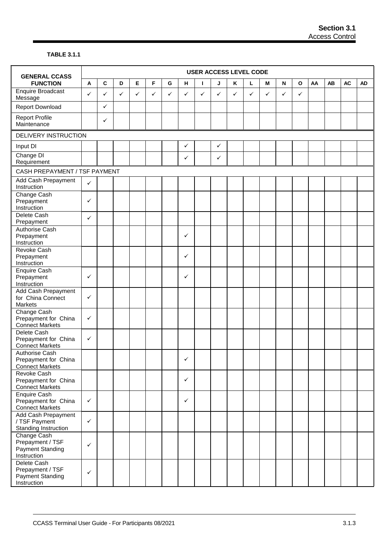## **TABLE 3.1.1**

| <b>GENERAL CCASS</b>                                                    |              |              |              |              |   |   |              |   |              |   | <b>USER ACCESS LEVEL CODE</b> |              |                           |              |    |    |           |           |
|-------------------------------------------------------------------------|--------------|--------------|--------------|--------------|---|---|--------------|---|--------------|---|-------------------------------|--------------|---------------------------|--------------|----|----|-----------|-----------|
| <b>FUNCTION</b>                                                         | A            | $\mathbf{C}$ | D            | $\mathsf E$  | F | G | н            | L | J            | Κ | г                             | M            | $\boldsymbol{\mathsf{N}}$ | $\mathbf{o}$ | AA | AB | <b>AC</b> | <b>AD</b> |
| <b>Enquire Broadcast</b><br>Message                                     | $\checkmark$ | ✓            | $\checkmark$ | $\checkmark$ | ✓ | ✓ | ✓            | ✓ | ✓            | ✓ | ✓                             | $\checkmark$ | ✓                         | $\checkmark$ |    |    |           |           |
| <b>Report Download</b>                                                  |              | ✓            |              |              |   |   |              |   |              |   |                               |              |                           |              |    |    |           |           |
| <b>Report Profile</b><br>Maintenance                                    |              | ✓            |              |              |   |   |              |   |              |   |                               |              |                           |              |    |    |           |           |
| DELIVERY INSTRUCTION                                                    |              |              |              |              |   |   |              |   |              |   |                               |              |                           |              |    |    |           |           |
| Input DI                                                                |              |              |              |              |   |   | $\checkmark$ |   | $\checkmark$ |   |                               |              |                           |              |    |    |           |           |
| Change DI<br>Requirement                                                |              |              |              |              |   |   | ✓            |   | $\checkmark$ |   |                               |              |                           |              |    |    |           |           |
| CASH PREPAYMENT / TSF PAYMENT                                           |              |              |              |              |   |   |              |   |              |   |                               |              |                           |              |    |    |           |           |
| Add Cash Prepayment<br>Instruction                                      | $\checkmark$ |              |              |              |   |   |              |   |              |   |                               |              |                           |              |    |    |           |           |
| Change Cash<br>Prepayment<br>Instruction                                | $\checkmark$ |              |              |              |   |   |              |   |              |   |                               |              |                           |              |    |    |           |           |
| Delete Cash<br>Prepayment                                               | $\checkmark$ |              |              |              |   |   |              |   |              |   |                               |              |                           |              |    |    |           |           |
| Authorise Cash<br>Prepayment<br>Instruction                             |              |              |              |              |   |   | ✓            |   |              |   |                               |              |                           |              |    |    |           |           |
| <b>Revoke Cash</b><br>Prepayment<br>Instruction                         |              |              |              |              |   |   | ✓            |   |              |   |                               |              |                           |              |    |    |           |           |
| Enquire Cash<br>Prepayment<br>Instruction                               | $\checkmark$ |              |              |              |   |   | $\checkmark$ |   |              |   |                               |              |                           |              |    |    |           |           |
| Add Cash Prepayment<br>for China Connect<br>Markets                     | $\checkmark$ |              |              |              |   |   |              |   |              |   |                               |              |                           |              |    |    |           |           |
| Change Cash<br>Prepayment for China<br><b>Connect Markets</b>           | $\checkmark$ |              |              |              |   |   |              |   |              |   |                               |              |                           |              |    |    |           |           |
| Delete Cash<br>Prepayment for China<br><b>Connect Markets</b>           | $\checkmark$ |              |              |              |   |   |              |   |              |   |                               |              |                           |              |    |    |           |           |
| <b>Authorise Cash</b><br>Prepayment for China<br><b>Connect Markets</b> |              |              |              |              |   |   | $\checkmark$ |   |              |   |                               |              |                           |              |    |    |           |           |
| Revoke Cash<br>Prepayment for China<br><b>Connect Markets</b>           |              |              |              |              |   |   | $\checkmark$ |   |              |   |                               |              |                           |              |    |    |           |           |
| <b>Enquire Cash</b><br>Prepayment for China<br><b>Connect Markets</b>   | $\checkmark$ |              |              |              |   |   | $\checkmark$ |   |              |   |                               |              |                           |              |    |    |           |           |
| Add Cash Prepayment<br>/ TSF Payment<br>Standing Instruction            | $\checkmark$ |              |              |              |   |   |              |   |              |   |                               |              |                           |              |    |    |           |           |
| Change Cash<br>Prepayment / TSF<br>Payment Standing<br>Instruction      | $\checkmark$ |              |              |              |   |   |              |   |              |   |                               |              |                           |              |    |    |           |           |
| Delete Cash<br>Prepayment / TSF<br>Payment Standing<br>Instruction      | $\checkmark$ |              |              |              |   |   |              |   |              |   |                               |              |                           |              |    |    |           |           |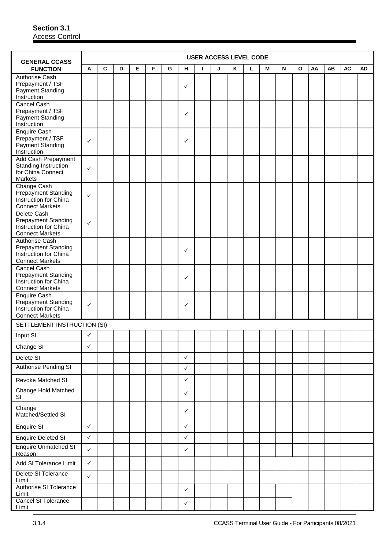| <b>GENERAL CCASS</b>                                                                            |              |   |   |   |   |   |              |   |   |   | <b>USER ACCESS LEVEL CODE</b> |   |           |   |    |    |           |           |
|-------------------------------------------------------------------------------------------------|--------------|---|---|---|---|---|--------------|---|---|---|-------------------------------|---|-----------|---|----|----|-----------|-----------|
| <b>FUNCTION</b>                                                                                 | A            | C | D | Е | F | G | н            | L | J | Κ | г                             | М | ${\sf N}$ | O | AA | AB | <b>AC</b> | <b>AD</b> |
| Authorise Cash<br>Prepayment / TSF<br><b>Payment Standing</b><br>Instruction                    |              |   |   |   |   |   | ✓            |   |   |   |                               |   |           |   |    |    |           |           |
| Cancel Cash<br>Prepayment / TSF<br><b>Payment Standing</b><br>Instruction                       |              |   |   |   |   |   | ✓            |   |   |   |                               |   |           |   |    |    |           |           |
| Enquire Cash<br>Prepayment / TSF<br><b>Payment Standing</b><br>Instruction                      | ✓            |   |   |   |   |   | ✓            |   |   |   |                               |   |           |   |    |    |           |           |
| Add Cash Prepayment<br>Standing Instruction<br>for China Connect<br><b>Markets</b>              | ✓            |   |   |   |   |   |              |   |   |   |                               |   |           |   |    |    |           |           |
| Change Cash<br><b>Prepayment Standing</b><br>Instruction for China<br><b>Connect Markets</b>    | ✓            |   |   |   |   |   |              |   |   |   |                               |   |           |   |    |    |           |           |
| Delete Cash<br><b>Prepayment Standing</b><br>Instruction for China<br><b>Connect Markets</b>    | ✓            |   |   |   |   |   |              |   |   |   |                               |   |           |   |    |    |           |           |
| Authorise Cash<br><b>Prepayment Standing</b><br>Instruction for China<br><b>Connect Markets</b> |              |   |   |   |   |   | ✓            |   |   |   |                               |   |           |   |    |    |           |           |
| Cancel Cash<br><b>Prepayment Standing</b><br>Instruction for China<br><b>Connect Markets</b>    |              |   |   |   |   |   | ✓            |   |   |   |                               |   |           |   |    |    |           |           |
| Enquire Cash<br><b>Prepayment Standing</b><br>Instruction for China<br><b>Connect Markets</b>   | ✓            |   |   |   |   |   | $\checkmark$ |   |   |   |                               |   |           |   |    |    |           |           |
| SETTLEMENT INSTRUCTION (SI)                                                                     |              |   |   |   |   |   |              |   |   |   |                               |   |           |   |    |    |           |           |
| Input SI                                                                                        | ✓            |   |   |   |   |   |              |   |   |   |                               |   |           |   |    |    |           |           |
| Change SI                                                                                       | ✓            |   |   |   |   |   |              |   |   |   |                               |   |           |   |    |    |           |           |
| Delete SI                                                                                       |              |   |   |   |   |   | $\checkmark$ |   |   |   |                               |   |           |   |    |    |           |           |
| <b>Authorise Pending SI</b>                                                                     |              |   |   |   |   |   | $\checkmark$ |   |   |   |                               |   |           |   |    |    |           |           |
| Revoke Matched SI                                                                               |              |   |   |   |   |   | ✓            |   |   |   |                               |   |           |   |    |    |           |           |
| Change Hold Matched<br>SI                                                                       |              |   |   |   |   |   | ✓            |   |   |   |                               |   |           |   |    |    |           |           |
| Change<br>Matched/Settled SI                                                                    |              |   |   |   |   |   | ✓            |   |   |   |                               |   |           |   |    |    |           |           |
| Enquire SI                                                                                      | $\checkmark$ |   |   |   |   |   | $\checkmark$ |   |   |   |                               |   |           |   |    |    |           |           |
| <b>Enquire Deleted SI</b>                                                                       | $\checkmark$ |   |   |   |   |   | ✓            |   |   |   |                               |   |           |   |    |    |           |           |
| <b>Enquire Unmatched SI</b><br>Reason                                                           | $\checkmark$ |   |   |   |   |   | $\checkmark$ |   |   |   |                               |   |           |   |    |    |           |           |
| Add SI Tolerance Limit                                                                          | $\checkmark$ |   |   |   |   |   |              |   |   |   |                               |   |           |   |    |    |           |           |
| Delete SI Tolerance<br>Limit                                                                    | $\checkmark$ |   |   |   |   |   |              |   |   |   |                               |   |           |   |    |    |           |           |
| <b>Authorise SI Tolerance</b><br>Limit                                                          |              |   |   |   |   |   | $\checkmark$ |   |   |   |                               |   |           |   |    |    |           |           |
| Cancel SI Tolerance<br>Limit                                                                    |              |   |   |   |   |   | ✓            |   |   |   |                               |   |           |   |    |    |           |           |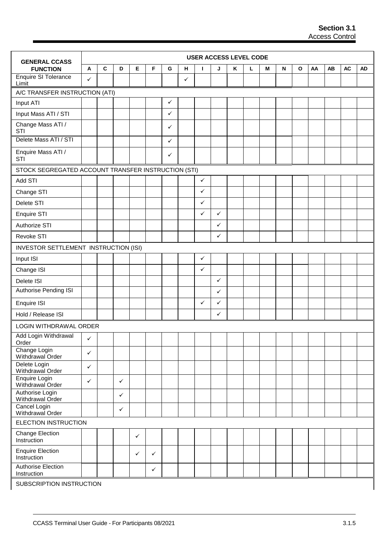| <b>GENERAL CCASS</b>                                |              |             |              |              |              |              |   |              | <b>USER ACCESS LEVEL CODE</b> |   |   |   |   |              |    |    |           |           |
|-----------------------------------------------------|--------------|-------------|--------------|--------------|--------------|--------------|---|--------------|-------------------------------|---|---|---|---|--------------|----|----|-----------|-----------|
| <b>FUNCTION</b>                                     | A            | $\mathbf c$ | D            | Е            | F            | G            | н | Т            | J                             | Κ | L | М | N | $\mathbf{o}$ | AA | AB | <b>AC</b> | <b>AD</b> |
| <b>Enquire SI Tolerance</b><br>Limit                | ✓            |             |              |              |              |              | ✓ |              |                               |   |   |   |   |              |    |    |           |           |
| A/C TRANSFER INSTRUCTION (ATI)                      |              |             |              |              |              |              |   |              |                               |   |   |   |   |              |    |    |           |           |
| Input ATI                                           |              |             |              |              |              | $\checkmark$ |   |              |                               |   |   |   |   |              |    |    |           |           |
| Input Mass ATI / STI                                |              |             |              |              |              | $\checkmark$ |   |              |                               |   |   |   |   |              |    |    |           |           |
| Change Mass ATI /<br>STI                            |              |             |              |              |              | ✓            |   |              |                               |   |   |   |   |              |    |    |           |           |
| Delete Mass ATI / STI                               |              |             |              |              |              | $\checkmark$ |   |              |                               |   |   |   |   |              |    |    |           |           |
| Enquire Mass ATI /<br>STI                           |              |             |              |              |              | ✓            |   |              |                               |   |   |   |   |              |    |    |           |           |
| STOCK SEGREGATED ACCOUNT TRANSFER INSTRUCTION (STI) |              |             |              |              |              |              |   |              |                               |   |   |   |   |              |    |    |           |           |
| Add STI                                             |              |             |              |              |              |              |   | $\checkmark$ |                               |   |   |   |   |              |    |    |           |           |
| Change STI                                          |              |             |              |              |              |              |   | $\checkmark$ |                               |   |   |   |   |              |    |    |           |           |
| Delete STI                                          |              |             |              |              |              |              |   | $\checkmark$ |                               |   |   |   |   |              |    |    |           |           |
| Enquire STI                                         |              |             |              |              |              |              |   | ✓            | ✓                             |   |   |   |   |              |    |    |           |           |
| Authorize STI                                       |              |             |              |              |              |              |   |              | ✓                             |   |   |   |   |              |    |    |           |           |
| Revoke STI                                          |              |             |              |              |              |              |   |              | $\checkmark$                  |   |   |   |   |              |    |    |           |           |
| INVESTOR SETTLEMENT INSTRUCTION (ISI)               |              |             |              |              |              |              |   |              |                               |   |   |   |   |              |    |    |           |           |
| Input ISI                                           |              |             |              |              |              |              |   | $\checkmark$ |                               |   |   |   |   |              |    |    |           |           |
| Change ISI                                          |              |             |              |              |              |              |   | $\checkmark$ |                               |   |   |   |   |              |    |    |           |           |
| Delete ISI                                          |              |             |              |              |              |              |   |              | $\checkmark$                  |   |   |   |   |              |    |    |           |           |
| Authorise Pending ISI                               |              |             |              |              |              |              |   |              | ✓                             |   |   |   |   |              |    |    |           |           |
| Enquire ISI                                         |              |             |              |              |              |              |   | $\checkmark$ | ✓                             |   |   |   |   |              |    |    |           |           |
| Hold / Release ISI                                  |              |             |              |              |              |              |   |              | $\checkmark$                  |   |   |   |   |              |    |    |           |           |
| LOGIN WITHDRAWAL ORDER                              |              |             |              |              |              |              |   |              |                               |   |   |   |   |              |    |    |           |           |
| Add Login Withdrawal<br>Order                       | ✓            |             |              |              |              |              |   |              |                               |   |   |   |   |              |    |    |           |           |
| Change Login<br>Withdrawal Order                    | ✓            |             |              |              |              |              |   |              |                               |   |   |   |   |              |    |    |           |           |
| Delete Login<br>Withdrawal Order                    | $\checkmark$ |             |              |              |              |              |   |              |                               |   |   |   |   |              |    |    |           |           |
| Enquire Login<br>Withdrawal Order                   | $\checkmark$ |             | $\checkmark$ |              |              |              |   |              |                               |   |   |   |   |              |    |    |           |           |
| Authorise Login<br>Withdrawal Order                 |              |             | $\checkmark$ |              |              |              |   |              |                               |   |   |   |   |              |    |    |           |           |
| Cancel Login<br>Withdrawal Order                    |              |             | $\checkmark$ |              |              |              |   |              |                               |   |   |   |   |              |    |    |           |           |
| ELECTION INSTRUCTION                                |              |             |              |              |              |              |   |              |                               |   |   |   |   |              |    |    |           |           |
| <b>Change Election</b><br>Instruction               |              |             |              | $\checkmark$ |              |              |   |              |                               |   |   |   |   |              |    |    |           |           |
| <b>Enquire Election</b><br>Instruction              |              |             |              | $\checkmark$ | $\checkmark$ |              |   |              |                               |   |   |   |   |              |    |    |           |           |
| Authorise Election<br>Instruction                   |              |             |              |              | $\checkmark$ |              |   |              |                               |   |   |   |   |              |    |    |           |           |
| SUBSCRIPTION INSTRUCTION                            |              |             |              |              |              |              |   |              |                               |   |   |   |   |              |    |    |           |           |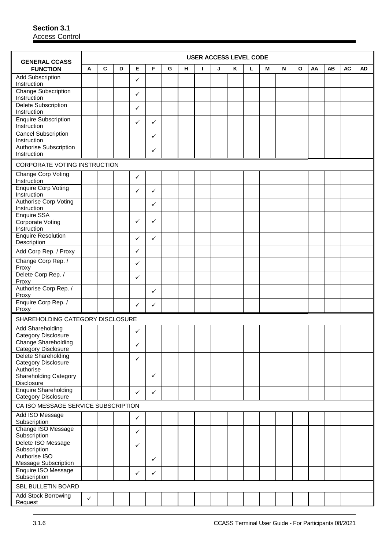| <b>GENERAL CCASS</b>                                    |              |   |   |              |   |   |   |   | <b>USER ACCESS LEVEL CODE</b> |   |   |   |           |   |    |    |           |           |
|---------------------------------------------------------|--------------|---|---|--------------|---|---|---|---|-------------------------------|---|---|---|-----------|---|----|----|-----------|-----------|
| <b>FUNCTION</b>                                         | A            | C | D | Е            | F | G | н | Т | J                             | Κ | г | M | ${\sf N}$ | O | AA | AB | <b>AC</b> | <b>AD</b> |
| <b>Add Subscription</b><br>Instruction                  |              |   |   | ✓            |   |   |   |   |                               |   |   |   |           |   |    |    |           |           |
| <b>Change Subscription</b><br>Instruction               |              |   |   | ✓            |   |   |   |   |                               |   |   |   |           |   |    |    |           |           |
| <b>Delete Subscription</b><br>Instruction               |              |   |   | ✓            |   |   |   |   |                               |   |   |   |           |   |    |    |           |           |
| <b>Enquire Subscription</b><br>Instruction              |              |   |   | ✓            | ✓ |   |   |   |                               |   |   |   |           |   |    |    |           |           |
| <b>Cancel Subscription</b><br>Instruction               |              |   |   |              | ✓ |   |   |   |                               |   |   |   |           |   |    |    |           |           |
| Authorise Subscription<br>Instruction                   |              |   |   |              | ✓ |   |   |   |                               |   |   |   |           |   |    |    |           |           |
| CORPORATE VOTING INSTRUCTION                            |              |   |   |              |   |   |   |   |                               |   |   |   |           |   |    |    |           |           |
| <b>Change Corp Voting</b><br>Instruction                |              |   |   | ✓            |   |   |   |   |                               |   |   |   |           |   |    |    |           |           |
| <b>Enquire Corp Voting</b><br>Instruction               |              |   |   | ✓            | ✓ |   |   |   |                               |   |   |   |           |   |    |    |           |           |
| Authorise Corp Voting<br>Instruction                    |              |   |   |              | ✓ |   |   |   |                               |   |   |   |           |   |    |    |           |           |
| <b>Enquire SSA</b><br>Corporate Voting<br>Instruction   |              |   |   | ✓            | ✓ |   |   |   |                               |   |   |   |           |   |    |    |           |           |
| <b>Enquire Resolution</b><br>Description                |              |   |   | $\checkmark$ | ✓ |   |   |   |                               |   |   |   |           |   |    |    |           |           |
| Add Corp Rep. / Proxy                                   |              |   |   | ✓            |   |   |   |   |                               |   |   |   |           |   |    |    |           |           |
| Change Corp Rep. /<br>Proxy                             |              |   |   | ✓            |   |   |   |   |                               |   |   |   |           |   |    |    |           |           |
| Delete Corp Rep. /<br>Proxy                             |              |   |   | ✓            |   |   |   |   |                               |   |   |   |           |   |    |    |           |           |
| Authorise Corp Rep. /<br>Proxy                          |              |   |   |              | ✓ |   |   |   |                               |   |   |   |           |   |    |    |           |           |
| Enquire Corp Rep. /<br>Proxy                            |              |   |   | ✓            | ✓ |   |   |   |                               |   |   |   |           |   |    |    |           |           |
| SHAREHOLDING CATEGORY DISCLOSURE                        |              |   |   |              |   |   |   |   |                               |   |   |   |           |   |    |    |           |           |
| <b>Add Shareholding</b><br>Category Disclosure          |              |   |   | $\checkmark$ |   |   |   |   |                               |   |   |   |           |   |    |    |           |           |
| Change Shareholding<br>Category Disclosure              |              |   |   | ✓            |   |   |   |   |                               |   |   |   |           |   |    |    |           |           |
| Delete Shareholding<br>Category Disclosure              |              |   |   | ✓            |   |   |   |   |                               |   |   |   |           |   |    |    |           |           |
| Authorise<br><b>Shareholding Category</b><br>Disclosure |              |   |   |              | ✓ |   |   |   |                               |   |   |   |           |   |    |    |           |           |
| <b>Enquire Shareholding</b><br>Category Disclosure      |              |   |   | $\checkmark$ | ✓ |   |   |   |                               |   |   |   |           |   |    |    |           |           |
| CA ISO MESSAGE SERVICE SUBSCRIPTION                     |              |   |   |              |   |   |   |   |                               |   |   |   |           |   |    |    |           |           |
| Add ISO Message<br>Subscription                         |              |   |   | $\checkmark$ |   |   |   |   |                               |   |   |   |           |   |    |    |           |           |
| Change ISO Message<br>Subscription                      |              |   |   | ✓            |   |   |   |   |                               |   |   |   |           |   |    |    |           |           |
| Delete ISO Message<br>Subscription                      |              |   |   | $\checkmark$ |   |   |   |   |                               |   |   |   |           |   |    |    |           |           |
| Authorise ISO<br>Message Subscription                   |              |   |   |              | ✓ |   |   |   |                               |   |   |   |           |   |    |    |           |           |
| Enquire ISO Message<br>Subscription                     |              |   |   | ✓            | ✓ |   |   |   |                               |   |   |   |           |   |    |    |           |           |
| SBL BULLETIN BOARD                                      |              |   |   |              |   |   |   |   |                               |   |   |   |           |   |    |    |           |           |
| Add Stock Borrowing<br>Request                          | $\checkmark$ |   |   |              |   |   |   |   |                               |   |   |   |           |   |    |    |           |           |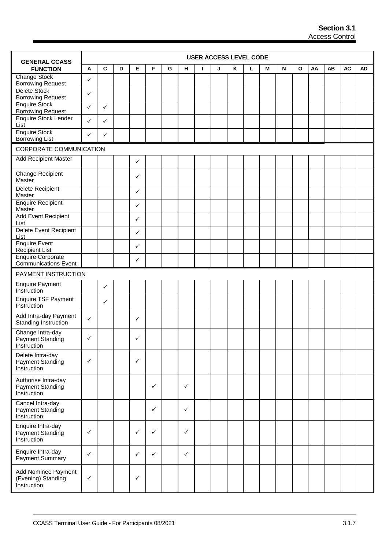| <b>GENERAL CCASS</b>                                          |              |              |   |              |              |   |              |    | <b>USER ACCESS LEVEL CODE</b> |   |   |   |   |   |    |    |           |           |
|---------------------------------------------------------------|--------------|--------------|---|--------------|--------------|---|--------------|----|-------------------------------|---|---|---|---|---|----|----|-----------|-----------|
| <b>FUNCTION</b>                                               | Α            | $\mathbf c$  | D | Е            | F            | G | н            | I. | J                             | Κ | L | М | N | O | AA | AB | <b>AC</b> | <b>AD</b> |
| Change Stock<br><b>Borrowing Request</b>                      | ✓            |              |   |              |              |   |              |    |                               |   |   |   |   |   |    |    |           |           |
| Delete Stock<br><b>Borrowing Request</b>                      | ✓            |              |   |              |              |   |              |    |                               |   |   |   |   |   |    |    |           |           |
| <b>Enquire Stock</b><br><b>Borrowing Request</b>              | ✓            | $\checkmark$ |   |              |              |   |              |    |                               |   |   |   |   |   |    |    |           |           |
| Enquire Stock Lender<br>List                                  | $\checkmark$ | $\checkmark$ |   |              |              |   |              |    |                               |   |   |   |   |   |    |    |           |           |
| <b>Enquire Stock</b><br><b>Borrowing List</b>                 | $\checkmark$ | $\checkmark$ |   |              |              |   |              |    |                               |   |   |   |   |   |    |    |           |           |
| CORPORATE COMMUNICATION                                       |              |              |   |              |              |   |              |    |                               |   |   |   |   |   |    |    |           |           |
| <b>Add Recipient Master</b>                                   |              |              |   | ✓            |              |   |              |    |                               |   |   |   |   |   |    |    |           |           |
| Change Recipient<br>Master                                    |              |              |   | ✓            |              |   |              |    |                               |   |   |   |   |   |    |    |           |           |
| <b>Delete Recipient</b><br>Master                             |              |              |   | ✓            |              |   |              |    |                               |   |   |   |   |   |    |    |           |           |
| <b>Enquire Recipient</b><br>Master                            |              |              |   | ✓            |              |   |              |    |                               |   |   |   |   |   |    |    |           |           |
| <b>Add Event Recipient</b><br>List                            |              |              |   | ✓            |              |   |              |    |                               |   |   |   |   |   |    |    |           |           |
| Delete Event Recipient<br>List                                |              |              |   | ✓            |              |   |              |    |                               |   |   |   |   |   |    |    |           |           |
| <b>Enquire Event</b><br><b>Recipient List</b>                 |              |              |   | ✓            |              |   |              |    |                               |   |   |   |   |   |    |    |           |           |
| <b>Enquire Corporate</b><br><b>Communications Event</b>       |              |              |   | ✓            |              |   |              |    |                               |   |   |   |   |   |    |    |           |           |
| PAYMENT INSTRUCTION                                           |              |              |   |              |              |   |              |    |                               |   |   |   |   |   |    |    |           |           |
| <b>Enquire Payment</b><br>Instruction                         |              | $\checkmark$ |   |              |              |   |              |    |                               |   |   |   |   |   |    |    |           |           |
| <b>Enquire TSF Payment</b><br>Instruction                     |              | $\checkmark$ |   |              |              |   |              |    |                               |   |   |   |   |   |    |    |           |           |
| Add Intra-day Payment<br>Standing Instruction                 | $\checkmark$ |              |   | ✓            |              |   |              |    |                               |   |   |   |   |   |    |    |           |           |
| Change Intra-day<br><b>Payment Standing</b><br>Instruction    | ✓            |              |   | ✓            |              |   |              |    |                               |   |   |   |   |   |    |    |           |           |
| Delete Intra-day<br>Payment Standing<br>Instruction           | $\checkmark$ |              |   | $\checkmark$ |              |   |              |    |                               |   |   |   |   |   |    |    |           |           |
| Authorise Intra-day<br><b>Payment Standing</b><br>Instruction |              |              |   |              | $\checkmark$ |   | ✓            |    |                               |   |   |   |   |   |    |    |           |           |
| Cancel Intra-day<br>Payment Standing<br>Instruction           |              |              |   |              | $\checkmark$ |   | ✓            |    |                               |   |   |   |   |   |    |    |           |           |
| Enquire Intra-day<br><b>Payment Standing</b><br>Instruction   | $\checkmark$ |              |   | ✓            | $\checkmark$ |   | ✓            |    |                               |   |   |   |   |   |    |    |           |           |
| Enquire Intra-day<br>Payment Summary                          | $\checkmark$ |              |   | $\checkmark$ | $\checkmark$ |   | $\checkmark$ |    |                               |   |   |   |   |   |    |    |           |           |
| Add Nominee Payment<br>(Evening) Standing<br>Instruction      | $\checkmark$ |              |   | ✓            |              |   |              |    |                               |   |   |   |   |   |    |    |           |           |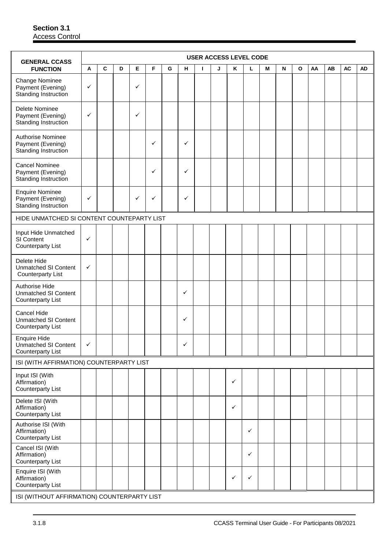| <b>GENERAL CCASS</b>                                                           |              |   |   |              |   |   |              |   | <b>USER ACCESS LEVEL CODE</b> |              |              |   |   |              |    |    |           |    |
|--------------------------------------------------------------------------------|--------------|---|---|--------------|---|---|--------------|---|-------------------------------|--------------|--------------|---|---|--------------|----|----|-----------|----|
| <b>FUNCTION</b>                                                                | A            | C | D | Е            | F | G | н.           | L | J                             | Κ            | Г            | M | N | $\mathbf{o}$ | AA | AB | <b>AC</b> | AD |
| Change Nominee<br>Payment (Evening)<br>Standing Instruction                    | $\checkmark$ |   |   | $\checkmark$ |   |   |              |   |                               |              |              |   |   |              |    |    |           |    |
| Delete Nominee<br>Payment (Evening)<br>Standing Instruction                    | $\checkmark$ |   |   | $\checkmark$ |   |   |              |   |                               |              |              |   |   |              |    |    |           |    |
| Authorise Nominee<br>Payment (Evening)<br>Standing Instruction                 |              |   |   |              | ✓ |   | ✓            |   |                               |              |              |   |   |              |    |    |           |    |
| <b>Cancel Nominee</b><br>Payment (Evening)<br>Standing Instruction             |              |   |   |              | ✓ |   | ✓            |   |                               |              |              |   |   |              |    |    |           |    |
| <b>Enquire Nominee</b><br>Payment (Evening)<br>Standing Instruction            | $\checkmark$ |   |   | $\checkmark$ | ✓ |   | ✓            |   |                               |              |              |   |   |              |    |    |           |    |
| HIDE UNMATCHED SI CONTENT COUNTEPARTY LIST                                     |              |   |   |              |   |   |              |   |                               |              |              |   |   |              |    |    |           |    |
| Input Hide Unmatched<br>SI Content<br><b>Counterparty List</b>                 | ✓            |   |   |              |   |   |              |   |                               |              |              |   |   |              |    |    |           |    |
| Delete Hide<br><b>Unmatched SI Content</b><br><b>Counterparty List</b>         | ✓            |   |   |              |   |   |              |   |                               |              |              |   |   |              |    |    |           |    |
| Authorise Hide<br><b>Unmatched SI Content</b><br><b>Counterparty List</b>      |              |   |   |              |   |   | ✓            |   |                               |              |              |   |   |              |    |    |           |    |
| Cancel Hide<br><b>Unmatched SI Content</b><br><b>Counterparty List</b>         |              |   |   |              |   |   | ✓            |   |                               |              |              |   |   |              |    |    |           |    |
| <b>Enquire Hide</b><br><b>Unmatched SI Content</b><br><b>Counterparty List</b> | $\checkmark$ |   |   |              |   |   | $\checkmark$ |   |                               |              |              |   |   |              |    |    |           |    |
| ISI (WITH AFFIRMATION) COUNTERPARTY LIST                                       |              |   |   |              |   |   |              |   |                               |              |              |   |   |              |    |    |           |    |
| Input ISI (With<br>Affirmation)<br><b>Counterparty List</b>                    |              |   |   |              |   |   |              |   |                               | $\checkmark$ |              |   |   |              |    |    |           |    |
| Delete ISI (With<br>Affirmation)<br><b>Counterparty List</b>                   |              |   |   |              |   |   |              |   |                               | $\checkmark$ |              |   |   |              |    |    |           |    |
| Authorise ISI (With<br>Affirmation)<br><b>Counterparty List</b>                |              |   |   |              |   |   |              |   |                               |              | $\checkmark$ |   |   |              |    |    |           |    |
| Cancel ISI (With<br>Affirmation)<br><b>Counterparty List</b>                   |              |   |   |              |   |   |              |   |                               |              | $\checkmark$ |   |   |              |    |    |           |    |
| Enquire ISI (With<br>Affirmation)<br><b>Counterparty List</b>                  |              |   |   |              |   |   |              |   |                               | ✓            | $\checkmark$ |   |   |              |    |    |           |    |
| ISI (WITHOUT AFFIRMATION) COUNTERPARTY LIST                                    |              |   |   |              |   |   |              |   |                               |              |              |   |   |              |    |    |           |    |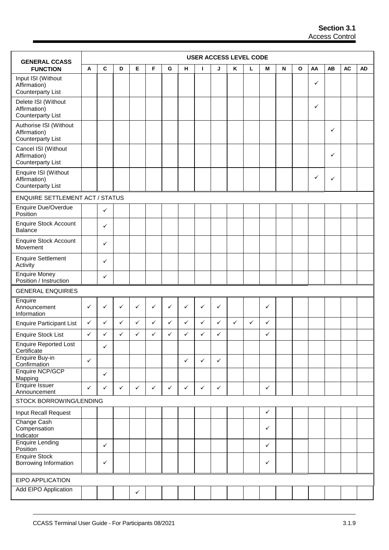| <b>GENERAL CCASS</b>                                               |              |              |              |              |              |              |              | <b>USER ACCESS LEVEL CODE</b> |              |              |   |              |   |              |              |           |           |           |
|--------------------------------------------------------------------|--------------|--------------|--------------|--------------|--------------|--------------|--------------|-------------------------------|--------------|--------------|---|--------------|---|--------------|--------------|-----------|-----------|-----------|
| <b>FUNCTION</b>                                                    | Α            | C            | D            | Е            | F            | G            | н            | т                             | J            | Κ            | г | M            | N | $\mathbf{o}$ | AA           | <b>AB</b> | <b>AC</b> | <b>AD</b> |
| Input ISI (Without<br>Affirmation)<br><b>Counterparty List</b>     |              |              |              |              |              |              |              |                               |              |              |   |              |   |              | $\checkmark$ |           |           |           |
| Delete ISI (Without<br>Affirmation)<br><b>Counterparty List</b>    |              |              |              |              |              |              |              |                               |              |              |   |              |   |              | ✓            |           |           |           |
| Authorise ISI (Without<br>Affirmation)<br><b>Counterparty List</b> |              |              |              |              |              |              |              |                               |              |              |   |              |   |              |              | ✓         |           |           |
| Cancel ISI (Without<br>Affirmation)<br><b>Counterparty List</b>    |              |              |              |              |              |              |              |                               |              |              |   |              |   |              |              | ✓         |           |           |
| Enquire ISI (Without<br>Affirmation)<br><b>Counterparty List</b>   |              |              |              |              |              |              |              |                               |              |              |   |              |   |              | ✓            | ✓         |           |           |
| <b>ENQUIRE SETTLEMENT ACT / STATUS</b>                             |              |              |              |              |              |              |              |                               |              |              |   |              |   |              |              |           |           |           |
| Enquire Due/Overdue<br>Position                                    |              | $\checkmark$ |              |              |              |              |              |                               |              |              |   |              |   |              |              |           |           |           |
| <b>Enquire Stock Account</b><br>Balance                            |              | $\checkmark$ |              |              |              |              |              |                               |              |              |   |              |   |              |              |           |           |           |
| <b>Enquire Stock Account</b><br>Movement                           |              | ✓            |              |              |              |              |              |                               |              |              |   |              |   |              |              |           |           |           |
| <b>Enquire Settlement</b><br>Activity                              |              | $\checkmark$ |              |              |              |              |              |                               |              |              |   |              |   |              |              |           |           |           |
| Enquire Money<br>Position / Instruction                            |              | $\checkmark$ |              |              |              |              |              |                               |              |              |   |              |   |              |              |           |           |           |
| <b>GENERAL ENQUIRIES</b>                                           |              |              |              |              |              |              |              |                               |              |              |   |              |   |              |              |           |           |           |
| Enquire<br>Announcement<br>Information                             | ✓            | ✓            | $\checkmark$ | ✓            | ✓            | ✓            | ✓            | $\checkmark$                  | ✓            |              |   | $\checkmark$ |   |              |              |           |           |           |
| <b>Enquire Participant List</b>                                    | $\checkmark$ | $\checkmark$ | $\checkmark$ | ✓            | ✓            | ✓            | ✓            | $\checkmark$                  | $\checkmark$ | $\checkmark$ | ✓ | ✓            |   |              |              |           |           |           |
| <b>Enquire Stock List</b>                                          | $\checkmark$ | ✓            | ✓            | ✓            | ✓            | ✓            | ✓            | ✓                             | ✓            |              |   | ✓            |   |              |              |           |           |           |
| <b>Enquire Reported Lost</b><br>Certificate                        |              | $\checkmark$ |              |              |              |              |              |                               |              |              |   |              |   |              |              |           |           |           |
| Enquire Buy-in<br>Confirmation                                     | $\checkmark$ |              |              |              |              |              | $\checkmark$ | $\checkmark$                  | $\checkmark$ |              |   |              |   |              |              |           |           |           |
| Enquire NCP/GCP<br>Mapping                                         |              | $\checkmark$ |              |              |              |              |              |                               |              |              |   |              |   |              |              |           |           |           |
| <b>Enquire Issuer</b><br>Announcement                              | $\checkmark$ | $\checkmark$ | $\checkmark$ | $\checkmark$ | $\checkmark$ | $\checkmark$ | ✓            | $\checkmark$                  | $\checkmark$ |              |   | $\checkmark$ |   |              |              |           |           |           |
| STOCK BORROWING/LENDING                                            |              |              |              |              |              |              |              |                               |              |              |   |              |   |              |              |           |           |           |
| Input Recall Request                                               |              |              |              |              |              |              |              |                               |              |              |   | ✓            |   |              |              |           |           |           |
| Change Cash<br>Compensation<br>Indicator                           |              |              |              |              |              |              |              |                               |              |              |   | ✓            |   |              |              |           |           |           |
| <b>Enquire Lending</b><br>Position                                 |              | $\checkmark$ |              |              |              |              |              |                               |              |              |   | $\checkmark$ |   |              |              |           |           |           |
| <b>Enquire Stock</b><br>Borrowing Information                      |              | $\checkmark$ |              |              |              |              |              |                               |              |              |   | $\checkmark$ |   |              |              |           |           |           |
| EIPO APPLICATION                                                   |              |              |              |              |              |              |              |                               |              |              |   |              |   |              |              |           |           |           |
| Add EIPO Application                                               |              |              |              | $\checkmark$ |              |              |              |                               |              |              |   |              |   |              |              |           |           |           |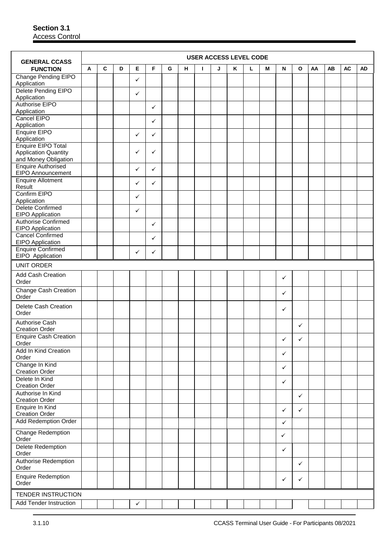|                                                       |   |   |   |              |              |   |   |    | <b>USER ACCESS LEVEL CODE</b> |   |   |   |              |              |    |    |           |    |
|-------------------------------------------------------|---|---|---|--------------|--------------|---|---|----|-------------------------------|---|---|---|--------------|--------------|----|----|-----------|----|
| <b>GENERAL CCASS</b><br><b>FUNCTION</b>               | A | C | D | Е            | F            | G | н | J. | J                             | Κ | L | M | N            | $\mathbf{o}$ | AA | AB | <b>AC</b> | AD |
| Change Pending EIPO<br>Application                    |   |   |   | $\checkmark$ |              |   |   |    |                               |   |   |   |              |              |    |    |           |    |
| Delete Pending EIPO<br>Application                    |   |   |   | $\checkmark$ |              |   |   |    |                               |   |   |   |              |              |    |    |           |    |
| Authorise EIPO<br>Application                         |   |   |   |              | ✓            |   |   |    |                               |   |   |   |              |              |    |    |           |    |
| Cancel EIPO<br>Application                            |   |   |   |              | ✓            |   |   |    |                               |   |   |   |              |              |    |    |           |    |
| Enquire EIPO<br>Application                           |   |   |   | $\checkmark$ | ✓            |   |   |    |                               |   |   |   |              |              |    |    |           |    |
| Enquire EIPO Total                                    |   |   |   | ✓            |              |   |   |    |                               |   |   |   |              |              |    |    |           |    |
| <b>Application Quantity</b><br>and Money Obligation   |   |   |   |              | ✓            |   |   |    |                               |   |   |   |              |              |    |    |           |    |
| <b>Enquire Authorised</b><br><b>EIPO Announcement</b> |   |   |   | ✓            | ✓            |   |   |    |                               |   |   |   |              |              |    |    |           |    |
| <b>Enquire Allotment</b><br>Result                    |   |   |   | ✓            | ✓            |   |   |    |                               |   |   |   |              |              |    |    |           |    |
| Confirm EIPO<br>Application                           |   |   |   | ✓            |              |   |   |    |                               |   |   |   |              |              |    |    |           |    |
| Delete Confirmed<br><b>EIPO</b> Application           |   |   |   | $\checkmark$ |              |   |   |    |                               |   |   |   |              |              |    |    |           |    |
| <b>Authorise Confirmed</b><br>EIPO Application        |   |   |   |              | ✓            |   |   |    |                               |   |   |   |              |              |    |    |           |    |
| <b>Cancel Confirmed</b><br><b>EIPO</b> Application    |   |   |   |              | $\checkmark$ |   |   |    |                               |   |   |   |              |              |    |    |           |    |
| <b>Enquire Confirmed</b><br>EIPO Application          |   |   |   | $\checkmark$ | ✓            |   |   |    |                               |   |   |   |              |              |    |    |           |    |
| <b>UNIT ORDER</b>                                     |   |   |   |              |              |   |   |    |                               |   |   |   |              |              |    |    |           |    |
| Add Cash Creation<br>Order                            |   |   |   |              |              |   |   |    |                               |   |   |   | $\checkmark$ |              |    |    |           |    |
| <b>Change Cash Creation</b><br>Order                  |   |   |   |              |              |   |   |    |                               |   |   |   | $\checkmark$ |              |    |    |           |    |
| Delete Cash Creation<br>Order                         |   |   |   |              |              |   |   |    |                               |   |   |   | $\checkmark$ |              |    |    |           |    |
| <b>Authorise Cash</b><br><b>Creation Order</b>        |   |   |   |              |              |   |   |    |                               |   |   |   |              | ✓            |    |    |           |    |
| <b>Enquire Cash Creation</b><br>Order                 |   |   |   |              |              |   |   |    |                               |   |   |   | $\checkmark$ | ✓            |    |    |           |    |
| Add In Kind Creation<br>Order                         |   |   |   |              |              |   |   |    |                               |   |   |   | $\checkmark$ |              |    |    |           |    |
| Change In Kind<br><b>Creation Order</b>               |   |   |   |              |              |   |   |    |                               |   |   |   | $\checkmark$ |              |    |    |           |    |
| Delete In Kind<br><b>Creation Order</b>               |   |   |   |              |              |   |   |    |                               |   |   |   | $\checkmark$ |              |    |    |           |    |
| Authorise In Kind<br><b>Creation Order</b>            |   |   |   |              |              |   |   |    |                               |   |   |   |              | $\checkmark$ |    |    |           |    |
| Enquire In Kind<br><b>Creation Order</b>              |   |   |   |              |              |   |   |    |                               |   |   |   | $\checkmark$ | $\checkmark$ |    |    |           |    |
| <b>Add Redemption Order</b>                           |   |   |   |              |              |   |   |    |                               |   |   |   | $\checkmark$ |              |    |    |           |    |
| Change Redemption<br>Order                            |   |   |   |              |              |   |   |    |                               |   |   |   | $\checkmark$ |              |    |    |           |    |
| Delete Redemption<br>Order                            |   |   |   |              |              |   |   |    |                               |   |   |   | $\checkmark$ |              |    |    |           |    |
| Authorise Redemption<br>Order                         |   |   |   |              |              |   |   |    |                               |   |   |   |              | $\checkmark$ |    |    |           |    |
| <b>Enquire Redemption</b><br>Order                    |   |   |   |              |              |   |   |    |                               |   |   |   | $\checkmark$ | ✓            |    |    |           |    |
| TENDER INSTRUCTION                                    |   |   |   |              |              |   |   |    |                               |   |   |   |              |              |    |    |           |    |
| <b>Add Tender Instruction</b>                         |   |   |   | $\checkmark$ |              |   |   |    |                               |   |   |   |              |              |    |    |           |    |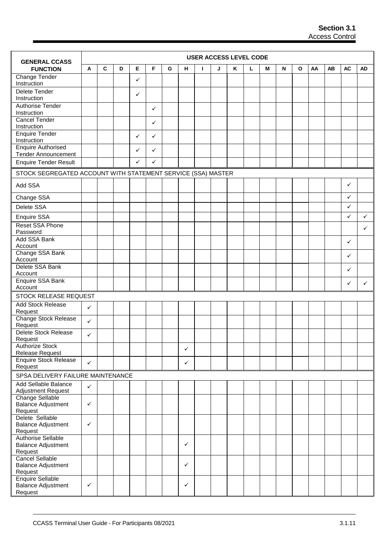| <b>GENERAL CCASS</b>                                         |              |             |   |              |   |   |              | <b>USER ACCESS LEVEL CODE</b> |   |   |   |   |   |   |    |    |              |           |
|--------------------------------------------------------------|--------------|-------------|---|--------------|---|---|--------------|-------------------------------|---|---|---|---|---|---|----|----|--------------|-----------|
| <b>FUNCTION</b>                                              | A            | $\mathbf c$ | D | Е            | F | G | н            | ı                             | J | Κ | L | М | N | O | AA | AB | <b>AC</b>    | <b>AD</b> |
| Change Tender<br>Instruction                                 |              |             |   | ✓            |   |   |              |                               |   |   |   |   |   |   |    |    |              |           |
| Delete Tender<br>Instruction                                 |              |             |   | $\checkmark$ |   |   |              |                               |   |   |   |   |   |   |    |    |              |           |
| Authorise Tender                                             |              |             |   |              | ✓ |   |              |                               |   |   |   |   |   |   |    |    |              |           |
| Instruction<br>Cancel Tender                                 |              |             |   |              | ✓ |   |              |                               |   |   |   |   |   |   |    |    |              |           |
| Instruction                                                  |              |             |   |              |   |   |              |                               |   |   |   |   |   |   |    |    |              |           |
| <b>Enquire Tender</b><br>Instruction                         |              |             |   | $\checkmark$ | ✓ |   |              |                               |   |   |   |   |   |   |    |    |              |           |
| <b>Enquire Authorised</b><br><b>Tender Announcement</b>      |              |             |   | ✓            | ✓ |   |              |                               |   |   |   |   |   |   |    |    |              |           |
| <b>Enquire Tender Result</b>                                 |              |             |   | ✓            | ✓ |   |              |                               |   |   |   |   |   |   |    |    |              |           |
| STOCK SEGREGATED ACCOUNT WITH STATEMENT SERVICE (SSA) MASTER |              |             |   |              |   |   |              |                               |   |   |   |   |   |   |    |    |              |           |
| Add SSA                                                      |              |             |   |              |   |   |              |                               |   |   |   |   |   |   |    |    | $\checkmark$ |           |
| Change SSA                                                   |              |             |   |              |   |   |              |                               |   |   |   |   |   |   |    |    | ✓            |           |
| Delete SSA                                                   |              |             |   |              |   |   |              |                               |   |   |   |   |   |   |    |    | ✓            |           |
| Enquire SSA                                                  |              |             |   |              |   |   |              |                               |   |   |   |   |   |   |    |    | ✓            | ✓         |
| <b>Reset SSA Phone</b><br>Password                           |              |             |   |              |   |   |              |                               |   |   |   |   |   |   |    |    |              | ✓         |
| Add SSA Bank<br>Account                                      |              |             |   |              |   |   |              |                               |   |   |   |   |   |   |    |    | ✓            |           |
| Change SSA Bank<br>Account                                   |              |             |   |              |   |   |              |                               |   |   |   |   |   |   |    |    | ✓            |           |
| Delete SSA Bank<br>Account                                   |              |             |   |              |   |   |              |                               |   |   |   |   |   |   |    |    | ✓            |           |
| Enquire SSA Bank<br>Account                                  |              |             |   |              |   |   |              |                               |   |   |   |   |   |   |    |    | ✓            | ✓         |
| STOCK RELEASE REQUEST                                        |              |             |   |              |   |   |              |                               |   |   |   |   |   |   |    |    |              |           |
| <b>Add Stock Release</b><br>Request                          | $\checkmark$ |             |   |              |   |   |              |                               |   |   |   |   |   |   |    |    |              |           |
| <b>Change Stock Release</b><br>Request                       | $\checkmark$ |             |   |              |   |   |              |                               |   |   |   |   |   |   |    |    |              |           |
| Delete Stock Release<br>Request                              | ✓            |             |   |              |   |   |              |                               |   |   |   |   |   |   |    |    |              |           |
| <b>Authorize Stock</b>                                       |              |             |   |              |   |   | $\checkmark$ |                               |   |   |   |   |   |   |    |    |              |           |
| <b>Release Request</b><br><b>Enquire Stock Release</b>       |              |             |   |              |   |   |              |                               |   |   |   |   |   |   |    |    |              |           |
| Request                                                      | $\checkmark$ |             |   |              |   |   | $\checkmark$ |                               |   |   |   |   |   |   |    |    |              |           |
| SPSA DELIVERY FAILURE MAINTENANCE                            |              |             |   |              |   |   |              |                               |   |   |   |   |   |   |    |    |              |           |
| Add Sellable Balance<br>Adjustment Request                   | $\checkmark$ |             |   |              |   |   |              |                               |   |   |   |   |   |   |    |    |              |           |
| <b>Change Sellable</b><br><b>Balance Adjustment</b>          | $\checkmark$ |             |   |              |   |   |              |                               |   |   |   |   |   |   |    |    |              |           |
| Request<br>Delete Sellable                                   |              |             |   |              |   |   |              |                               |   |   |   |   |   |   |    |    |              |           |
| <b>Balance Adjustment</b><br>Request                         | $\checkmark$ |             |   |              |   |   |              |                               |   |   |   |   |   |   |    |    |              |           |
| Authorise Sellable                                           |              |             |   |              |   |   |              |                               |   |   |   |   |   |   |    |    |              |           |
| <b>Balance Adjustment</b><br>Request                         |              |             |   |              |   |   | $\checkmark$ |                               |   |   |   |   |   |   |    |    |              |           |
| Cancel Sellable<br><b>Balance Adjustment</b>                 |              |             |   |              |   |   | $\checkmark$ |                               |   |   |   |   |   |   |    |    |              |           |
| Request<br><b>Enquire Sellable</b>                           |              |             |   |              |   |   |              |                               |   |   |   |   |   |   |    |    |              |           |
| <b>Balance Adjustment</b><br>Request                         | $\checkmark$ |             |   |              |   |   | $\checkmark$ |                               |   |   |   |   |   |   |    |    |              |           |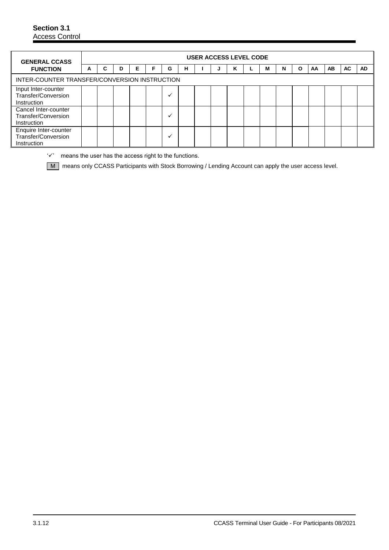| <b>GENERAL CCASS</b>                                        |   |   |   |   |   |   | USER ACCESS LEVEL CODE |   |   |   |   |   |    |    |           |     |
|-------------------------------------------------------------|---|---|---|---|---|---|------------------------|---|---|---|---|---|----|----|-----------|-----|
| <b>FUNCTION</b>                                             | A | C | D | Е | G | н |                        | J | ĸ | М | N | O | AA | AB | <b>AC</b> | AD. |
| INTER-COUNTER TRANSFER/CONVERSION INSTRUCTION               |   |   |   |   |   |   |                        |   |   |   |   |   |    |    |           |     |
| Input Inter-counter<br>Transfer/Conversion<br>Instruction   |   |   |   |   |   |   |                        |   |   |   |   |   |    |    |           |     |
| Cancel Inter-counter<br>Transfer/Conversion<br>Instruction  |   |   |   |   |   |   |                        |   |   |   |   |   |    |    |           |     |
| Enquire Inter-counter<br>Transfer/Conversion<br>Instruction |   |   |   |   |   |   |                        |   |   |   |   |   |    |    |           |     |

 $\forall$  means the user has the access right to the functions.

M means only CCASS Participants with Stock Borrowing / Lending Account can apply the user access level.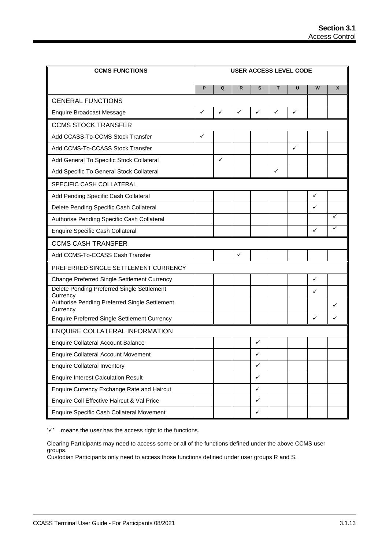| <b>CCMS FUNCTIONS</b>                                     |   |              |              |              |              | <b>USER ACCESS LEVEL CODE</b> |   |   |
|-----------------------------------------------------------|---|--------------|--------------|--------------|--------------|-------------------------------|---|---|
|                                                           | P | Q            | R            | S            | т            | U                             | W | X |
| <b>GENERAL FUNCTIONS</b>                                  |   |              |              |              |              |                               |   |   |
| <b>Enquire Broadcast Message</b>                          | ✓ | ✓            | $\checkmark$ | ✓            | ✓            | ✓                             |   |   |
| <b>CCMS STOCK TRANSFER</b>                                |   |              |              |              |              |                               |   |   |
| Add CCASS-To-CCMS Stock Transfer                          | ✓ |              |              |              |              |                               |   |   |
| Add CCMS-To-CCASS Stock Transfer                          |   |              |              |              |              | ✓                             |   |   |
| Add General To Specific Stock Collateral                  |   | $\checkmark$ |              |              |              |                               |   |   |
| Add Specific To General Stock Collateral                  |   |              |              |              | $\checkmark$ |                               |   |   |
| SPECIFIC CASH COLLATERAL                                  |   |              |              |              |              |                               |   |   |
| Add Pending Specific Cash Collateral                      |   |              |              |              |              |                               | ✓ |   |
| Delete Pending Specific Cash Collateral                   |   |              |              |              |              |                               | ✓ |   |
| Authorise Pending Specific Cash Collateral                |   |              |              |              |              |                               |   | ✓ |
| <b>Enquire Specific Cash Collateral</b>                   |   |              |              |              |              |                               | ✓ | ✓ |
| <b>CCMS CASH TRANSFER</b>                                 |   |              |              |              |              |                               |   |   |
| Add CCMS-To-CCASS Cash Transfer                           |   |              | $\checkmark$ |              |              |                               |   |   |
| PREFERRED SINGLE SETTLEMENT CURRENCY                      |   |              |              |              |              |                               |   |   |
| Change Preferred Single Settlement Currency               |   |              |              |              |              |                               | ✓ |   |
| Delete Pending Preferred Single Settlement<br>Currency    |   |              |              |              |              |                               | ✓ |   |
| Authorise Pending Preferred Single Settlement<br>Currency |   |              |              |              |              |                               |   | ✓ |
| Enquire Preferred Single Settlement Currency              |   |              |              |              |              |                               | ✓ | ✓ |
| <b>ENQUIRE COLLATERAL INFORMATION</b>                     |   |              |              |              |              |                               |   |   |
| <b>Enquire Collateral Account Balance</b>                 |   |              |              | ✓            |              |                               |   |   |
| <b>Enquire Collateral Account Movement</b>                |   |              |              | ✓            |              |                               |   |   |
| <b>Enquire Collateral Inventory</b>                       |   |              |              | $\checkmark$ |              |                               |   |   |
| <b>Enquire Interest Calculation Result</b>                |   |              |              | $\checkmark$ |              |                               |   |   |
| Enquire Currency Exchange Rate and Haircut                |   |              |              | $\checkmark$ |              |                               |   |   |
| Enquire Coll Effective Haircut & Val Price                |   |              |              | $\checkmark$ |              |                               |   |   |
| Enquire Specific Cash Collateral Movement                 |   |              |              | $\checkmark$ |              |                               |   |   |

 $'\checkmark$  means the user has the access right to the functions.

Clearing Participants may need to access some or all of the functions defined under the above CCMS user groups.

Custodian Participants only need to access those functions defined under user groups R and S.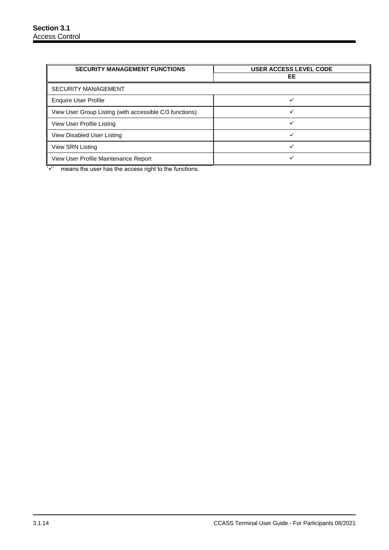| <b>SECURITY MANAGEMENT FUNCTIONS</b>                    | <b>USER ACCESS LEVEL CODE</b> |
|---------------------------------------------------------|-------------------------------|
|                                                         | EE                            |
| <b>SECURITY MANAGEMENT</b>                              |                               |
| <b>Enquire User Profile</b>                             |                               |
| View User Group Listing (with accessible C/3 functions) |                               |
| View User Profile Listing                               |                               |
| View Disabled User Listing                              |                               |
| View SRN Listing                                        |                               |
| View User Profile Maintenance Report                    |                               |

 $\sqrt{2}$  means the user has the access right to the functions.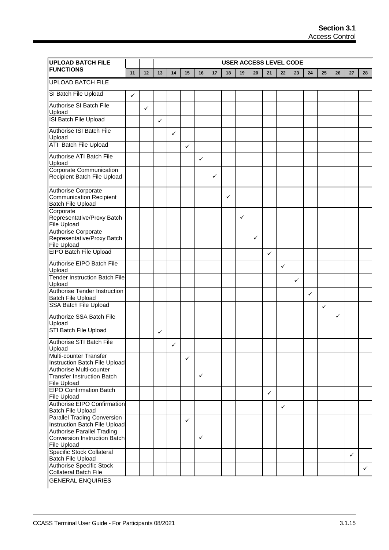| <b>UPLOAD BATCH FILE</b>                                                                           |    | <b>USER ACCESS LEVEL CODE</b> |              |              |    |              |    |    |    |    |              |              |              |    |              |    |              |              |
|----------------------------------------------------------------------------------------------------|----|-------------------------------|--------------|--------------|----|--------------|----|----|----|----|--------------|--------------|--------------|----|--------------|----|--------------|--------------|
| <b>FUNCTIONS</b>                                                                                   | 11 | 12                            | 13           | 14           | 15 | 16           | 17 | 18 | 19 | 20 | 21           | 22           | 23           | 24 | 25           | 26 | 27           | 28           |
| <b>UPLOAD BATCH FILE</b>                                                                           |    |                               |              |              |    |              |    |    |    |    |              |              |              |    |              |    |              |              |
| SI Batch File Upload                                                                               | ✓  |                               |              |              |    |              |    |    |    |    |              |              |              |    |              |    |              |              |
| <b>Authorise SI Batch File</b><br>Upload                                                           |    | ✓                             |              |              |    |              |    |    |    |    |              |              |              |    |              |    |              |              |
| ISI Batch File Upload                                                                              |    |                               | $\checkmark$ |              |    |              |    |    |    |    |              |              |              |    |              |    |              |              |
| Authorise ISI Batch File<br>Upload                                                                 |    |                               |              | $\checkmark$ |    |              |    |    |    |    |              |              |              |    |              |    |              |              |
| <b>ATI Batch File Upload</b>                                                                       |    |                               |              |              | ✓  |              |    |    |    |    |              |              |              |    |              |    |              |              |
| Authorise ATI Batch File<br>Upload                                                                 |    |                               |              |              |    | $\checkmark$ |    |    |    |    |              |              |              |    |              |    |              |              |
| Corporate Communication<br>Recipient Batch File Upload                                             |    |                               |              |              |    |              | ✓  |    |    |    |              |              |              |    |              |    |              |              |
| <b>Authorise Corporate</b><br><b>Communication Recipient</b><br><b>Batch File Upload</b>           |    |                               |              |              |    |              |    | ✓  |    |    |              |              |              |    |              |    |              |              |
| Corporate<br>Representative/Proxy Batch<br><b>File Upload</b>                                      |    |                               |              |              |    |              |    |    | ✓  |    |              |              |              |    |              |    |              |              |
| Authorise Corporate<br>Representative/Proxy Batch<br><b>File Upload</b>                            |    |                               |              |              |    |              |    |    |    | ✓  |              |              |              |    |              |    |              |              |
| <b>EIPO Batch File Upload</b>                                                                      |    |                               |              |              |    |              |    |    |    |    | ✓            |              |              |    |              |    |              |              |
| Authorise EIPO Batch File<br>Upload                                                                |    |                               |              |              |    |              |    |    |    |    |              | $\checkmark$ |              |    |              |    |              |              |
| <b>Tender Instruction Batch File</b><br>Upload                                                     |    |                               |              |              |    |              |    |    |    |    |              |              | $\checkmark$ |    |              |    |              |              |
| Authorise Tender Instruction<br><b>Batch File Upload</b>                                           |    |                               |              |              |    |              |    |    |    |    |              |              |              | ✓  |              |    |              |              |
| <b>SSA Batch File Upload</b>                                                                       |    |                               |              |              |    |              |    |    |    |    |              |              |              |    | $\checkmark$ |    |              |              |
| Authorize SSA Batch File<br>Upload                                                                 |    |                               |              |              |    |              |    |    |    |    |              |              |              |    |              | ✓  |              |              |
| STI Batch File Upload                                                                              |    |                               | ✓            |              |    |              |    |    |    |    |              |              |              |    |              |    |              |              |
| Authorise STI Batch File<br>Upload                                                                 |    |                               |              | ✓            |    |              |    |    |    |    |              |              |              |    |              |    |              |              |
| Multi-counter Transfer<br>Instruction Batch File Upload                                            |    |                               |              |              | ✓  |              |    |    |    |    |              |              |              |    |              |    |              |              |
| Authorise Multi-counter<br>Transfer Instruction Batch<br>File Upload                               |    |                               |              |              |    | ✓            |    |    |    |    |              |              |              |    |              |    |              |              |
| <b>EIPO Confirmation Batch</b><br><b>File Upload</b>                                               |    |                               |              |              |    |              |    |    |    |    | $\checkmark$ |              |              |    |              |    |              |              |
| <b>Authorise EIPO Confirmation</b><br>Batch File Upload                                            |    |                               |              |              |    |              |    |    |    |    |              | ✓            |              |    |              |    |              |              |
| <b>Parallel Trading Conversion</b>                                                                 |    |                               |              |              | ✓  |              |    |    |    |    |              |              |              |    |              |    |              |              |
| Instruction Batch File Upload<br><b>Authorise Parallel Trading</b><br>Conversion Instruction Batch |    |                               |              |              |    | ✓            |    |    |    |    |              |              |              |    |              |    |              |              |
| <b>File Upload</b><br>Specific Stock Collateral<br><b>Batch File Upload</b>                        |    |                               |              |              |    |              |    |    |    |    |              |              |              |    |              |    | $\checkmark$ |              |
| <b>Authorise Specific Stock</b><br><b>Collateral Batch File</b>                                    |    |                               |              |              |    |              |    |    |    |    |              |              |              |    |              |    |              | $\checkmark$ |
| <b>GENERAL ENQUIRIES</b>                                                                           |    |                               |              |              |    |              |    |    |    |    |              |              |              |    |              |    |              |              |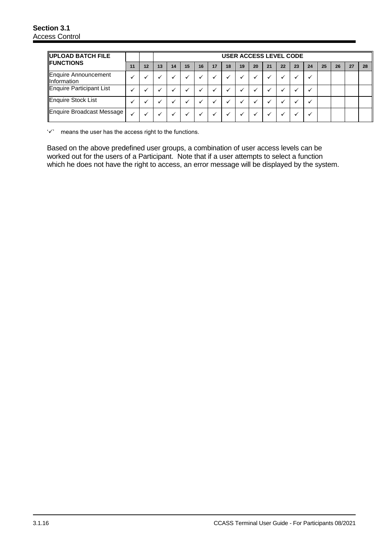| UPLOAD BATCH FILE<br><b>IFUNCTIONS</b>       |    |    | <b>USER ACCESS LEVEL CODE</b> |    |    |    |    |    |    |    |    |    |    |    |    |    |    |    |
|----------------------------------------------|----|----|-------------------------------|----|----|----|----|----|----|----|----|----|----|----|----|----|----|----|
|                                              | 11 | 12 | 13                            | 14 | 15 | 16 | 17 | 18 | 19 | 20 | 21 | 22 | 23 | 24 | 25 | 26 | 27 | 28 |
| Enquire Announcement<br><b>Illnformation</b> |    |    |                               |    |    |    |    |    |    |    |    |    |    |    |    |    |    |    |
| Enquire Participant List                     |    |    |                               |    |    |    |    |    |    |    |    |    |    |    |    |    |    |    |
| Enquire Stock List                           |    |    |                               |    |    |    |    |    |    |    |    |    |    |    |    |    |    |    |
| Enquire Broadcast Message                    |    |    |                               |    |    |    |    |    |    |    |    |    |    |    |    |    |    |    |

 $\forall$  means the user has the access right to the functions.

Based on the above predefined user groups, a combination of user access levels can be worked out for the users of a Participant. Note that if a user attempts to select a function which he does not have the right to access, an error message will be displayed by the system.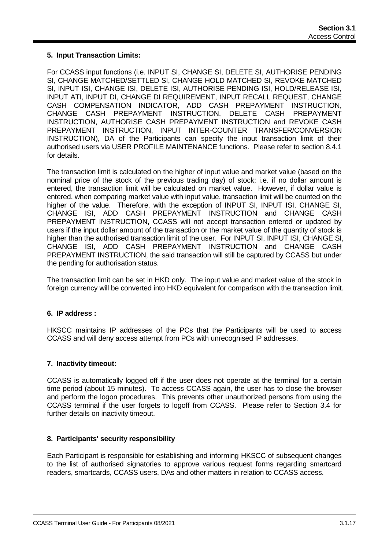### **5. Input Transaction Limits:**

For CCASS input functions (i.e. INPUT SI, CHANGE SI, DELETE SI, AUTHORISE PENDING SI, CHANGE MATCHED/SETTLED SI, CHANGE HOLD MATCHED SI, REVOKE MATCHED SI, INPUT ISI, CHANGE ISI, DELETE ISI, AUTHORISE PENDING ISI, HOLD/RELEASE ISI, INPUT ATI, INPUT DI, CHANGE DI REQUIREMENT, INPUT RECALL REQUEST, CHANGE CASH COMPENSATION INDICATOR, ADD CASH PREPAYMENT INSTRUCTION, CHANGE CASH PREPAYMENT INSTRUCTION, DELETE CASH PREPAYMENT INSTRUCTION, AUTHORISE CASH PREPAYMENT INSTRUCTION and REVOKE CASH PREPAYMENT INSTRUCTION, INPUT INTER-COUNTER TRANSFER/CONVERSION INSTRUCTION), DA of the Participants can specify the input transaction limit of their authorised users via USER PROFILE MAINTENANCE functions. Please refer to section 8.4.1 for details.

The transaction limit is calculated on the higher of input value and market value (based on the nominal price of the stock of the previous trading day) of stock; i.e. if no dollar amount is entered, the transaction limit will be calculated on market value. However, if dollar value is entered, when comparing market value with input value, transaction limit will be counted on the higher of the value. Therefore, with the exception of INPUT SI, INPUT ISI, CHANGE SI, CHANGE ISI, ADD CASH PREPAYMENT INSTRUCTION and CHANGE CASH PREPAYMENT INSTRUCTION, CCASS will not accept transaction entered or updated by users if the input dollar amount of the transaction or the market value of the quantity of stock is higher than the authorised transaction limit of the user. For INPUT SI, INPUT ISI, CHANGE SI, CHANGE ISI, ADD CASH PREPAYMENT INSTRUCTION and CHANGE CASH PREPAYMENT INSTRUCTION, the said transaction will still be captured by CCASS but under the pending for authorisation status.

The transaction limit can be set in HKD only. The input value and market value of the stock in foreign currency will be converted into HKD equivalent for comparison with the transaction limit.

#### **6. IP address :**

HKSCC maintains IP addresses of the PCs that the Participants will be used to access CCASS and will deny access attempt from PCs with unrecognised IP addresses.

#### **7. Inactivity timeout:**

CCASS is automatically logged off if the user does not operate at the terminal for a certain time period (about 15 minutes). To access CCASS again, the user has to close the browser and perform the logon procedures. This prevents other unauthorized persons from using the CCASS terminal if the user forgets to logoff from CCASS. Please refer to Section 3.4 for further details on inactivity timeout.

#### **8. Participants' security responsibility**

Each Participant is responsible for establishing and informing HKSCC of subsequent changes to the list of authorised signatories to approve various request forms regarding smartcard readers, smartcards, CCASS users, DAs and other matters in relation to CCASS access.